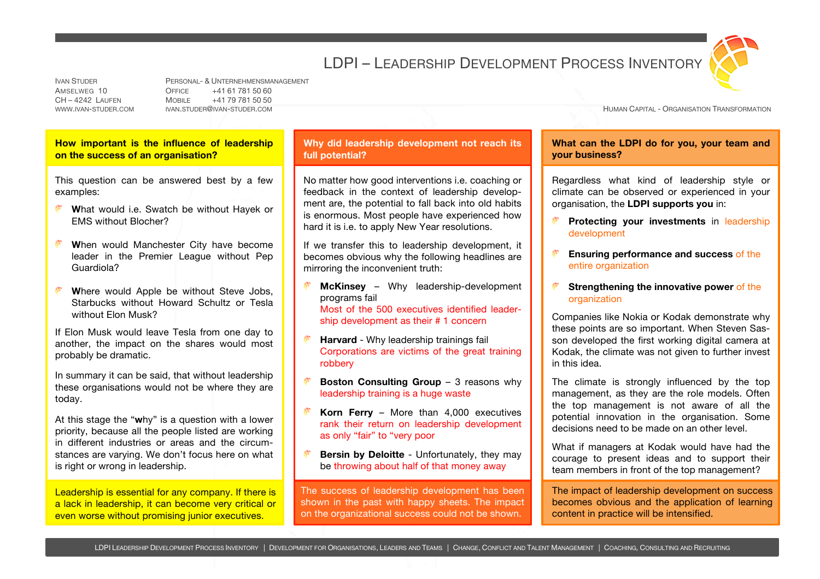## LDPI – LEADERSHIP DEVELOPMENT PROCESS INVENTORY



IVAN STUDER PERSONAL- & UNTERNEHMENSMANAGEMENT AMSELWEG 10 OFFICE +41 61 781 50 60 CH – 4242 LAUFEN MOBILE +41 79 781 50 50

WWW.IVAN-STUDER.COM IVAN.STUDER@IVAN-STUDER.COM SANTA CAPITAL - ORGANISATION TRANSFORMATION TRANSFORMATION

**How important is the influence of leadership on the success of an organisation?**

This question can be answered best by a few examples:

- **What would i.e. Swatch be without Hayek or** EMS without Blocher?
- **W**hen would Manchester City have become leader in the Premier League without Pep Guardiola?
- Where would Apple be without Steve Jobs. Starbucks without Howard Schultz or Tesla without Elon Musk?

If Elon Musk would leave Tesla from one day to another, the impact on the shares would most probably be dramatic.

In summary it can be said, that without leadership these organisations would not be where they are today.

At this stage the "**w**hy" is a question with a lower priority, because all the people listed are working in different industries or areas and the circumstances are varying. We don't focus here on what is right or wrong in leadership.

Leadership is essential for any company. If there is a lack in leadership, it can become very critical or even worse without promising junior executives.

## **Why did leadership development not reach its full potential?**

No matter how good interventions i.e. coaching or feedback in the context of leadership development are, the potential to fall back into old habits is enormous. Most people have experienced how hard it is i.e. to apply New Year resolutions.

If we transfer this to leadership development, it becomes obvious why the following headlines are mirroring the inconvenient truth:

- **McKinsey** Why leadership-development programs fail Most of the 500 executives identified leadership development as their # 1 concern
- **Harvard** Why leadership trainings fail Corporations are victims of the great training robbery
- **Boston Consulting Group** 3 reasons why leadership training is a huge waste
- **Korn Ferry** More than 4,000 executives rank their return on leadership development as only "fair" to "very poor
- **Bersin by Deloitte** Unfortunately, they may be throwing about half of that money away

The success of leadership development has been shown in the past with happy sheets. The impact on the organizational success could not be shown.

**What can the LDPI do for you, your team and your business?**

Regardless what kind of leadership style or climate can be observed or experienced in your organisation, the **LDPI supports you** in:

- **Protecting your investments** in leadership development
- **Ensuring performance and success** of the entire organization
- **Strengthening the innovative power** of the organization

Companies like Nokia or Kodak demonstrate why these points are so important. When Steven Sasson developed the first working digital camera at Kodak, the climate was not given to further invest in this idea.

The climate is strongly influenced by the top management, as they are the role models. Often the top management is not aware of all the potential innovation in the organisation. Some decisions need to be made on an other level.

What if managers at Kodak would have had the courage to present ideas and to support their team members in front of the top management?

The impact of leadership development on success becomes obvious and the application of learning content in practice will be intensified.